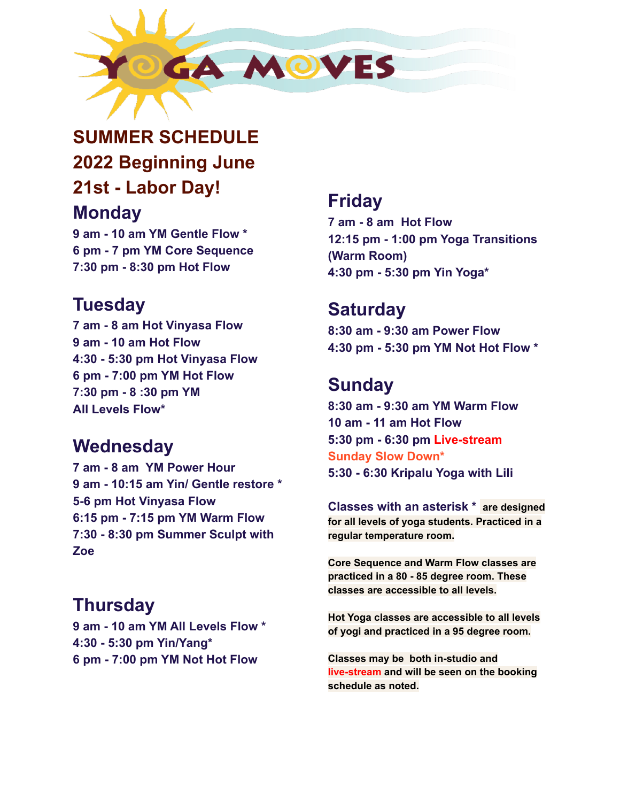

# **SUMMER SCHEDULE 2022 Beginning June 21st - Labor Day! Monday**

**9 am - 10 am YM Gentle Flow \* 6 pm - 7 pm YM Core Sequence 7:30 pm - 8:30 pm Hot Flow**

## **Tuesday**

**7 am - 8 am Hot Vinyasa Flow 9 am - 10 am Hot Flow 4:30 - 5:30 pm Hot Vinyasa Flow 6 pm - 7:00 pm YM Hot Flow 7:30 pm - 8 :30 pm YM All Levels Flow\***

#### **Wednesday**

**7 am - 8 am YM Power Hour 9 am - 10:15 am Yin/ Gentle restore \* 5-6 pm Hot Vinyasa Flow 6:15 pm - 7:15 pm YM Warm Flow 7:30 - 8:30 pm Summer Sculpt with Zoe**

## **Thursday**

**9 am - 10 am YM All Levels Flow \* 4:30 - 5:30 pm Yin/Yang\* 6 pm - 7:00 pm YM Not Hot Flow**

### **Friday**

**7 am - 8 am Hot Flow 12:15 pm - 1:00 pm Yoga Transitions (Warm Room) 4:30 pm - 5:30 pm Yin Yoga\***

#### **Saturday**

**8:30 am - 9:30 am Power Flow 4:30 pm - 5:30 pm YM Not Hot Flow \***

## **Sunday**

**8:30 am - 9:30 am YM Warm Flow 10 am - 11 am Hot Flow 5:30 pm - 6:30 pm Live-stream Sunday Slow Down\* 5:30 - 6:30 Kripalu Yoga with Lili**

**Classes with an asterisk \* are designed for all levels of yoga students. Practiced in a regular temperature room.**

**Core Sequence and Warm Flow classes are practiced in a 80 - 85 degree room. These classes are accessible to all levels.**

**Hot Yoga classes are accessible to all levels of yogi and practiced in a 95 degree room.**

**Classes may be both in-studio and live-stream and will be seen on the booking schedule as noted.**